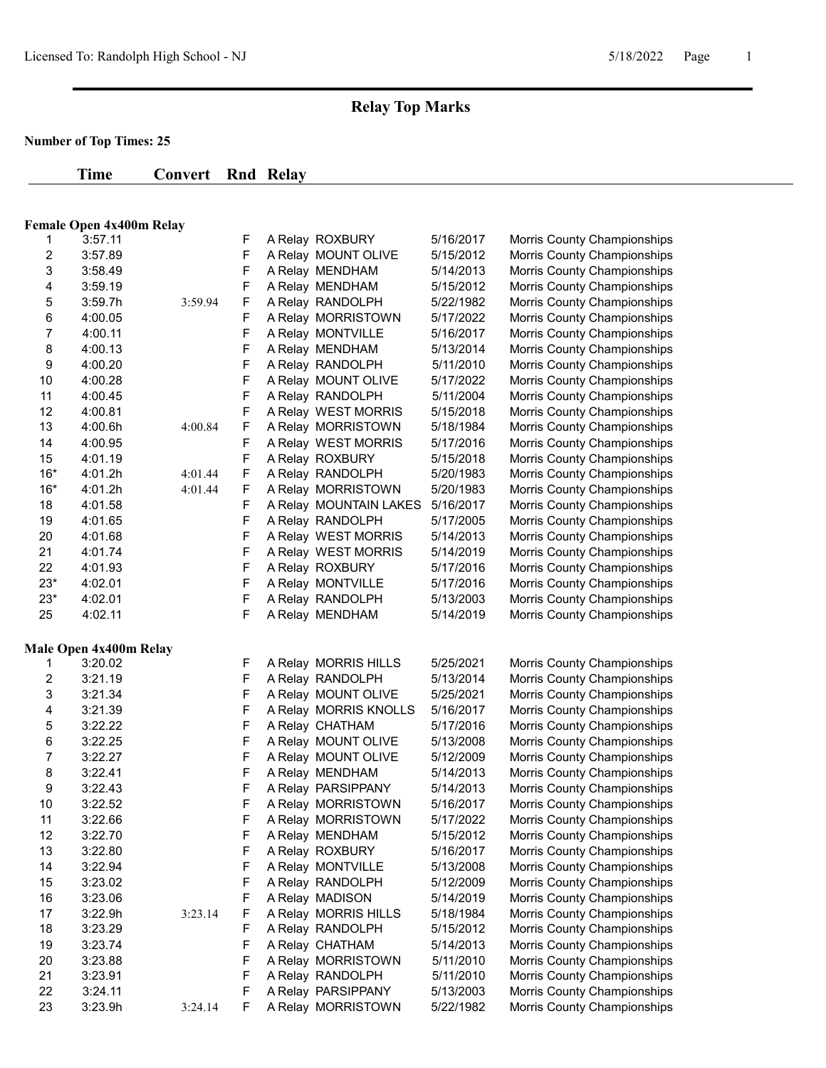# **Relay Top Marks**

## **Number of Top Times: 25**

| Time | <b>Convert Rnd Relay</b> |  |
|------|--------------------------|--|
|      |                          |  |

### **Female Open 4x400m Relay**

| 1     | 3:57.11                           |         | F      | A Relay ROXBURY                       | 5/16/2017              | Morris County Championships                                |
|-------|-----------------------------------|---------|--------|---------------------------------------|------------------------|------------------------------------------------------------|
| 2     | 3:57.89                           |         | F      | A Relay MOUNT OLIVE                   | 5/15/2012              | Morris County Championships                                |
| 3     | 3:58.49                           |         | F      | A Relay MENDHAM                       | 5/14/2013              | Morris County Championships                                |
| 4     | 3:59.19                           |         | F      | A Relay MENDHAM                       | 5/15/2012              | Morris County Championships                                |
| 5     | 3:59.7h                           | 3:59.94 | F      | A Relay RANDOLPH                      | 5/22/1982              | Morris County Championships                                |
| 6     | 4:00.05                           |         | F      | A Relay MORRISTOWN                    | 5/17/2022              | Morris County Championships                                |
| 7     | 4:00.11                           |         | F      | A Relay MONTVILLE                     | 5/16/2017              | Morris County Championships                                |
| 8     | 4:00.13                           |         | F      | A Relay MENDHAM                       | 5/13/2014              | Morris County Championships                                |
| 9     | 4:00.20                           |         | F      | A Relay RANDOLPH                      | 5/11/2010              | Morris County Championships                                |
| 10    | 4:00.28                           |         | F      | A Relay MOUNT OLIVE                   | 5/17/2022              | Morris County Championships                                |
| 11    | 4:00.45                           |         | F      | A Relay RANDOLPH                      | 5/11/2004              | Morris County Championships                                |
| 12    | 4:00.81                           |         | F      | A Relay WEST MORRIS                   | 5/15/2018              | Morris County Championships                                |
| 13    | 4:00.6h                           | 4:00.84 | F      | A Relay MORRISTOWN                    | 5/18/1984              | Morris County Championships                                |
| 14    | 4:00.95                           |         | F      | A Relay WEST MORRIS                   | 5/17/2016              | Morris County Championships                                |
| 15    | 4:01.19                           |         | F      | A Relay ROXBURY                       | 5/15/2018              | Morris County Championships                                |
| $16*$ | 4:01.2h                           | 4:01.44 | F      | A Relay RANDOLPH                      | 5/20/1983              | Morris County Championships                                |
| $16*$ | 4:01.2h                           | 4:01.44 | F      | A Relay MORRISTOWN                    | 5/20/1983              | Morris County Championships                                |
| 18    | 4:01.58                           |         | F      | A Relay MOUNTAIN LAKES                | 5/16/2017              | Morris County Championships                                |
| 19    | 4:01.65                           |         | F      | A Relay RANDOLPH                      | 5/17/2005              | Morris County Championships                                |
| 20    | 4:01.68                           |         | F      | A Relay WEST MORRIS                   | 5/14/2013              | Morris County Championships                                |
| 21    | 4:01.74                           |         | F      | A Relay WEST MORRIS                   | 5/14/2019              | Morris County Championships                                |
| 22    | 4:01.93                           |         | F      | A Relay ROXBURY                       | 5/17/2016              | Morris County Championships                                |
| $23*$ | 4:02.01                           |         | F      | A Relay MONTVILLE                     | 5/17/2016              | Morris County Championships                                |
| $23*$ | 4:02.01                           |         | F      | A Relay RANDOLPH                      | 5/13/2003              | Morris County Championships                                |
|       | 4:02.11                           |         | F      | A Relay MENDHAM                       | 5/14/2019              | Morris County Championships                                |
| 25    |                                   |         |        |                                       |                        |                                                            |
|       |                                   |         |        |                                       |                        |                                                            |
| 1     | Male Open 4x400m Relay<br>3:20.02 |         |        |                                       | 5/25/2021              |                                                            |
| 2     | 3:21.19                           |         | F<br>F | A Relay MORRIS HILLS                  | 5/13/2014              | Morris County Championships                                |
| 3     | 3:21.34                           |         | F      | A Relay RANDOLPH                      | 5/25/2021              | Morris County Championships                                |
| 4     | 3:21.39                           |         | F      | A Relay MOUNT OLIVE                   | 5/16/2017              | Morris County Championships                                |
| 5     | 3:22.22                           |         | F      | A Relay MORRIS KNOLLS                 | 5/17/2016              | Morris County Championships                                |
| 6     |                                   |         |        | A Relay CHATHAM                       |                        | Morris County Championships                                |
| 7     | 3:22.25                           |         | F<br>F | A Relay MOUNT OLIVE                   | 5/13/2008              | Morris County Championships                                |
| 8     | 3:22.27<br>3:22.41                |         |        | A Relay MOUNT OLIVE                   | 5/12/2009              | Morris County Championships                                |
| 9     | 3:22.43                           |         | F<br>F | A Relay MENDHAM<br>A Relay PARSIPPANY | 5/14/2013<br>5/14/2013 | Morris County Championships                                |
| 10    | 3:22.52                           |         | F      | A Relay MORRISTOWN                    | 5/16/2017              | Morris County Championships<br>Morris County Championships |
| 11    | 3:22.66                           |         | F      | A Relay MORRISTOWN                    | 5/17/2022              | Morris County Championships                                |
| 12    | 3:22.70                           |         | F      | A Relay MENDHAM                       | 5/15/2012              | Morris County Championships                                |
| 13    | 3:22.80                           |         | F      | A Relay ROXBURY                       | 5/16/2017              | Morris County Championships                                |
| 14    | 3:22.94                           |         | F      | A Relay MONTVILLE                     | 5/13/2008              | Morris County Championships                                |
| 15    | 3:23.02                           |         | F      | A Relay RANDOLPH                      | 5/12/2009              | Morris County Championships                                |
| 16    | 3:23.06                           |         | F      | A Relay MADISON                       | 5/14/2019              | Morris County Championships                                |
| 17    | 3:22.9h                           | 3:23.14 | F      | A Relay MORRIS HILLS                  | 5/18/1984              | Morris County Championships                                |
| 18    | 3:23.29                           |         | F      | A Relay RANDOLPH                      | 5/15/2012              | Morris County Championships                                |
| 19    | 3:23.74                           |         | F      | A Relay CHATHAM                       | 5/14/2013              | Morris County Championships                                |
| 20    | 3:23.88                           |         | F      | A Relay MORRISTOWN                    | 5/11/2010              | Morris County Championships                                |
| 21    | 3:23.91                           |         | F      | A Relay RANDOLPH                      | 5/11/2010              | Morris County Championships                                |
| 22    | 3:24.11                           |         | F      | A Relay PARSIPPANY                    | 5/13/2003              | Morris County Championships                                |